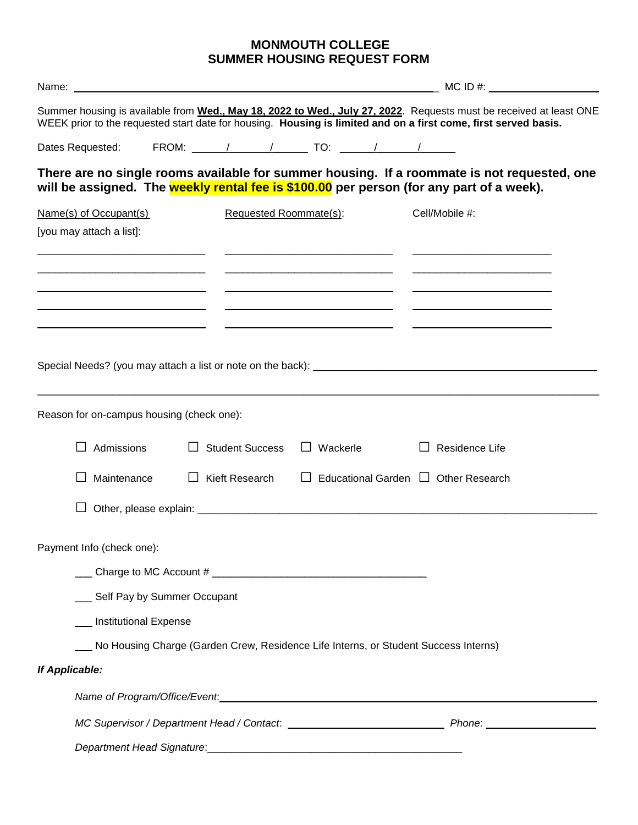## **MONMOUTH COLLEGE SUMMER HOUSING REQUEST FORM**

| $MC$ ID $#$ :                             |                                 |                        |          |  |                                                                                                                                                                                         |                                                                                                                    |
|-------------------------------------------|---------------------------------|------------------------|----------|--|-----------------------------------------------------------------------------------------------------------------------------------------------------------------------------------------|--------------------------------------------------------------------------------------------------------------------|
|                                           |                                 |                        |          |  | WEEK prior to the requested start date for housing. Housing is limited and on a first come, first served basis.                                                                         | Summer housing is available from Wed., May 18, 2022 to Wed., July 27, 2022. Requests must be received at least ONE |
| Dates Requested:                          |                                 |                        |          |  |                                                                                                                                                                                         |                                                                                                                    |
|                                           |                                 |                        |          |  | There are no single rooms available for summer housing. If a roommate is not requested, one<br>will be assigned. The weekly rental fee is \$100.00 per person (for any part of a week). |                                                                                                                    |
| Name(s) of Occupant(s)                    |                                 | Requested Roommate(s): |          |  | Cell/Mobile #:                                                                                                                                                                          |                                                                                                                    |
| [you may attach a list]:                  |                                 |                        |          |  |                                                                                                                                                                                         |                                                                                                                    |
|                                           |                                 |                        |          |  |                                                                                                                                                                                         |                                                                                                                    |
|                                           |                                 |                        |          |  |                                                                                                                                                                                         |                                                                                                                    |
|                                           |                                 |                        |          |  |                                                                                                                                                                                         |                                                                                                                    |
|                                           |                                 |                        |          |  |                                                                                                                                                                                         |                                                                                                                    |
|                                           |                                 |                        |          |  |                                                                                                                                                                                         |                                                                                                                    |
|                                           |                                 |                        |          |  |                                                                                                                                                                                         |                                                                                                                    |
|                                           |                                 |                        |          |  |                                                                                                                                                                                         |                                                                                                                    |
| Reason for on-campus housing (check one): |                                 |                        |          |  |                                                                                                                                                                                         |                                                                                                                    |
| Admissions                                |                                 | <b>Student Success</b> | Wackerle |  | Residence Life                                                                                                                                                                          |                                                                                                                    |
| Maintenance                               |                                 | Kieft Research         |          |  | Educational Garden $\Box$ Other Research                                                                                                                                                |                                                                                                                    |
|                                           |                                 |                        |          |  |                                                                                                                                                                                         |                                                                                                                    |
|                                           |                                 |                        |          |  |                                                                                                                                                                                         |                                                                                                                    |
| Payment Info (check one):                 |                                 |                        |          |  |                                                                                                                                                                                         |                                                                                                                    |
|                                           |                                 |                        |          |  |                                                                                                                                                                                         |                                                                                                                    |
|                                           | ___ Self Pay by Summer Occupant |                        |          |  |                                                                                                                                                                                         |                                                                                                                    |
|                                           | __ Institutional Expense        |                        |          |  |                                                                                                                                                                                         |                                                                                                                    |
|                                           |                                 |                        |          |  | No Housing Charge (Garden Crew, Residence Life Interns, or Student Success Interns)                                                                                                     |                                                                                                                    |
| If Applicable:                            |                                 |                        |          |  |                                                                                                                                                                                         |                                                                                                                    |
|                                           |                                 |                        |          |  |                                                                                                                                                                                         |                                                                                                                    |
|                                           |                                 |                        |          |  |                                                                                                                                                                                         |                                                                                                                    |
|                                           |                                 |                        |          |  |                                                                                                                                                                                         |                                                                                                                    |
|                                           |                                 |                        |          |  |                                                                                                                                                                                         |                                                                                                                    |